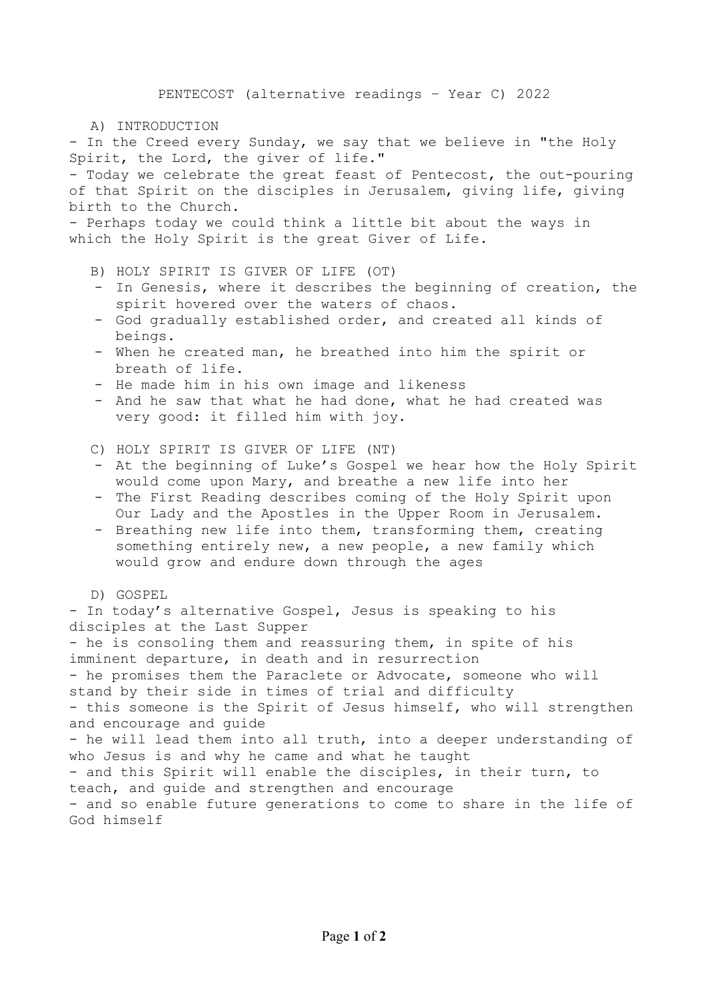## A) INTRODUCTION

- In the Creed every Sunday, we say that we believe in "the Holy Spirit, the Lord, the giver of life."

- Today we celebrate the great feast of Pentecost, the out-pouring of that Spirit on the disciples in Jerusalem, giving life, giving birth to the Church.

- Perhaps today we could think a little bit about the ways in which the Holy Spirit is the great Giver of Life.

- B) HOLY SPIRIT IS GIVER OF LIFE (OT)
- In Genesis, where it describes the beginning of creation, the spirit hovered over the waters of chaos.
- God gradually established order, and created all kinds of beings.
- When he created man, he breathed into him the spirit or breath of life.
- He made him in his own image and likeness
- And he saw that what he had done, what he had created was very good: it filled him with joy.
- C) HOLY SPIRIT IS GIVER OF LIFE (NT)
- At the beginning of Luke's Gospel we hear how the Holy Spirit would come upon Mary, and breathe a new life into her
- The First Reading describes coming of the Holy Spirit upon Our Lady and the Apostles in the Upper Room in Jerusalem.
- Breathing new life into them, transforming them, creating something entirely new, a new people, a new family which would grow and endure down through the ages
- D) GOSPEL

- In today's alternative Gospel, Jesus is speaking to his disciples at the Last Supper - he is consoling them and reassuring them, in spite of his imminent departure, in death and in resurrection - he promises them the Paraclete or Advocate, someone who will stand by their side in times of trial and difficulty - this someone is the Spirit of Jesus himself, who will strengthen and encourage and guide - he will lead them into all truth, into a deeper understanding of who Jesus is and why he came and what he taught - and this Spirit will enable the disciples, in their turn, to teach, and guide and strengthen and encourage - and so enable future generations to come to share in the life of God himself